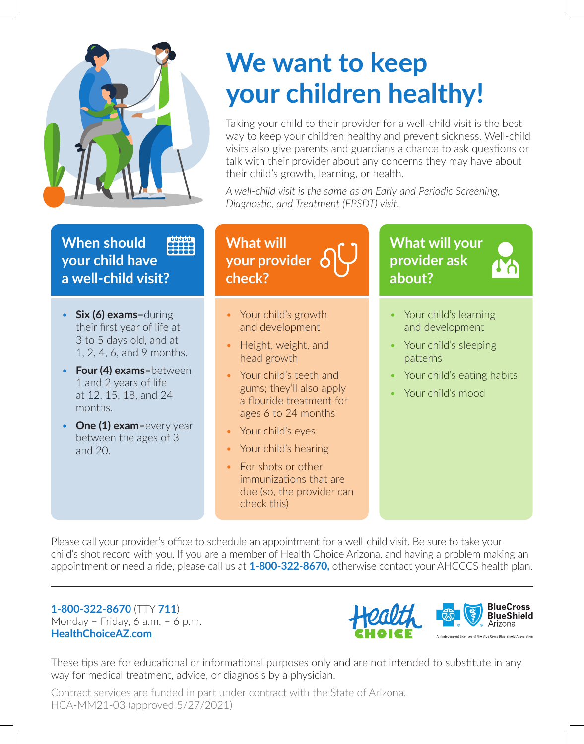

#### **When should DUUUU** 22225 **your child have a well-child visit?**

- **Six (6) exams–**during their first year of life at 3 to 5 days old, and at 1, 2, 4, 6, and 9 months.
- **Four (4) exams–**between 1 and 2 years of life at 12, 15, 18, and 24 months.
- **One (1) exam–**every year between the ages of 3 and 20.

# **We want to keep your children healthy!**

Taking your child to their provider for a well-child visit is the best way to keep your children healthy and prevent sickness. Well-child visits also give parents and guardians a chance to ask questions or talk with their provider about any concerns they may have about their child's growth, learning, or health.

*A well-child visit is the same as an Early and Periodic Screening, Diagnostic, and Treatment (EPSDT) visit.*

#### • Your child's growth and development • Height, weight, and head growth • Your child's teeth and gums; they'll also apply a flouride treatment for • Your child's learning and development • Your child's sleeping patterns • Your child's eating habits • Your child's mood **What will your provider check? What will your provider ask about?**

Please call your provider's office to schedule an appointment for a well-child visit. Be sure to take your child's shot record with you. If you are a member of Health Choice Arizona, and having a problem making an appointment or need a ride, please call us at **1-800-322-8670,** otherwise contact your AHCCCS health plan.

immunizations that are due (so, the provider can

ages 6 to 24 months

• Your child's eyes

• Your child's hearing

• For shots or other

check this)

### **1-800-322-8670** (TTY **711**) Monday – Friday, 6 a.m. – 6 p.m. **HealthChoiceAZ.com**



These tips are for educational or informational purposes only and are not intended to substitute in any way for medical treatment, advice, or diagnosis by a physician.

Contract services are funded in part under contract with the State of Arizona. HCA-MM21-03 (approved 5/27/2021)